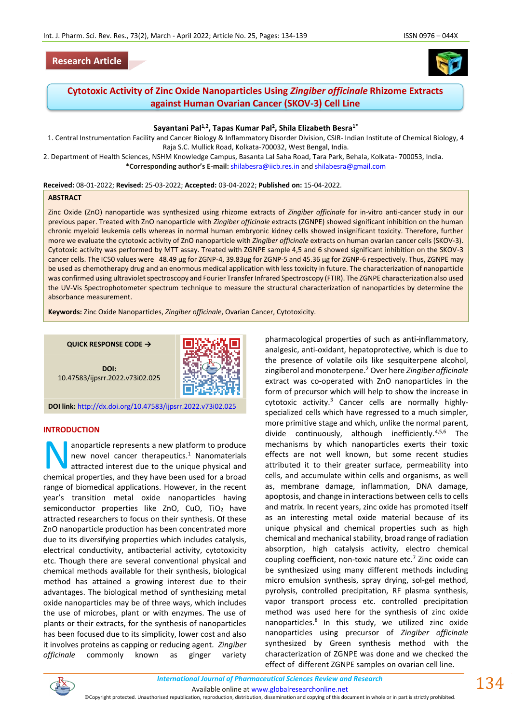## **Research Article**



# **Cytotoxic Activity of Zinc Oxide Nanoparticles Using** *Zingiber officinale* **Rhizome Extracts against Human Ovarian Cancer (SKOV-3) Cell Line**

### **Sayantani Pal1,2, Tapas Kumar Pal<sup>2</sup> , Shila Elizabeth Besra1\***

1. Central Instrumentation Facility and Cancer Biology & Inflammatory Disorder Division, CSIR- Indian Institute of Chemical Biology, 4 Raja S.C. Mullick Road, Kolkata-700032, West Bengal, India.

2. Department of Health Sciences, NSHM Knowledge Campus, Basanta Lal Saha Road, Tara Park, Behala, Kolkata- 700053, India. **\*Corresponding author's E-mail:** [shilabesra@iicb.res.in](mailto:shilabesra@iicb.res.in) an[d shilabesra@gmail.com](mailto:shilabesra@gmail.com)

#### **Received:** 08-01-2022; **Revised:** 25-03-2022; **Accepted:** 03-04-2022; **Published on:** 15-04-2022.

#### **ABSTRACT**

Zinc Oxide (ZnO) nanoparticle was synthesized using rhizome extracts of *Zingiber officinale* for in-vitro anti-cancer study in our previous paper. Treated with ZnO nanoparticle with *Zingiber officinale* extracts (ZGNPE) showed significant inhibition on the human chronic myeloid leukemia cells whereas in normal human embryonic kidney cells showed insignificant toxicity. Therefore, further more we evaluate the cytotoxic activity of ZnO nanoparticle with *Zingiber officinale* extracts on human ovarian cancer cells (SKOV-3). Cytotoxic activity was performed by MTT assay. Treated with ZGNPE sample 4,5 and 6 showed significant inhibition on the SKOV-3 cancer cells. The IC50 values were 48.49 µg for ZGNP-4, 39.83µg for ZGNP-5 and 45.36 µg for ZGNP-6 respectively. Thus, ZGNPE may be used as chemotherapy drug and an enormous medical application with less toxicity in future. The characterization of nanoparticle was confirmed using ultraviolet spectroscopy and Fourier Transfer Infrared Spectroscopy (FTIR). The ZGNPE characterization also used the UV-Vis Spectrophotometer spectrum technique to measure the structural characterization of nanoparticles by determine the absorbance measurement.

**Keywords:** Zinc Oxide Nanoparticles, *Zingiber officinale*, Ovarian Cancer, Cytotoxicity.

**QUICK RESPONSE CODE →**

**DOI:** 10.47583/ijpsrr.2022.v73i02.025



**DOI link:** <http://dx.doi.org/10.47583/ijpsrr.2022.v73i02.025>

#### **INTRODUCTION**

anoparticle represents a new platform to produce new novel cancer therapeutics.<sup>1</sup> Nanomaterials attracted interest due to the unique physical and anoparticle represents a new platform to produce<br>new novel cancer therapeutics.<sup>1</sup> Nanomaterials<br>attracted interest due to the unique physical and<br>chemical properties, and they have been used for a broad range of biomedical applications. However, in the recent year's transition metal oxide nanoparticles having semiconductor properties like ZnO, CuO, TiO<sub>2</sub> have attracted researchers to focus on their synthesis. Of these ZnO nanoparticle production has been concentrated more due to its diversifying properties which includes catalysis, electrical conductivity, antibacterial activity, cytotoxicity etc. Though there are several conventional physical and chemical methods available for their synthesis, biological method has attained a growing interest due to their advantages. The biological method of synthesizing metal oxide nanoparticles may be of three ways, which includes the use of microbes, plant or with enzymes. The use of plants or their extracts, for the synthesis of nanoparticles has been focused due to its simplicity, lower cost and also it involves proteins as capping or reducing agent. *Zingiber officinale* commonly known as ginger variety

pharmacological properties of such as anti-inflammatory, analgesic, anti-oxidant, hepatoprotective, which is due to the presence of volatile oils like sesquiterpene alcohol, zingiberol and monoterpene.<sup>2</sup> Over here *Zingiber officinale*  extract was co-operated with ZnO nanoparticles in the form of precursor which will help to show the increase in cytotoxic activity. $3$  Cancer cells are normally highlyspecialized cells which have regressed to a much simpler, more primitive stage and which, unlike the normal parent, divide continuously, although inefficiently.4,5,6 The mechanisms by which nanoparticles exerts their toxic effects are not well known, but some recent studies attributed it to their greater surface, permeability into cells, and accumulate within cells and organisms, as well as, membrane damage, inflammation, DNA damage, apoptosis, and change in interactions between cells to cells and matrix. In recent years, zinc oxide has promoted itself as an interesting metal oxide material because of its unique physical and chemical properties such as high chemical and mechanical stability, broad range of radiation absorption, high catalysis activity, electro chemical coupling coefficient, non-toxic nature etc. $<sup>7</sup>$  Zinc oxide can</sup> be synthesized using many different methods including micro emulsion synthesis, spray drying, sol-gel method, pyrolysis, controlled precipitation, RF plasma synthesis, vapor transport process etc. controlled precipitation method was used here for the synthesis of zinc oxide nanoparticles.<sup>8</sup> In this study, we utilized zinc oxide nanoparticles using precursor of *Zingiber officinale*  synthesized by Green synthesis method with the characterization of ZGNPE was done and we checked the effect of different ZGNPE samples on ovarian cell line.



*International Journal of Pharmaceutical Sciences Review and Research International Journal of Pharmaceutical Sciences Review and Research*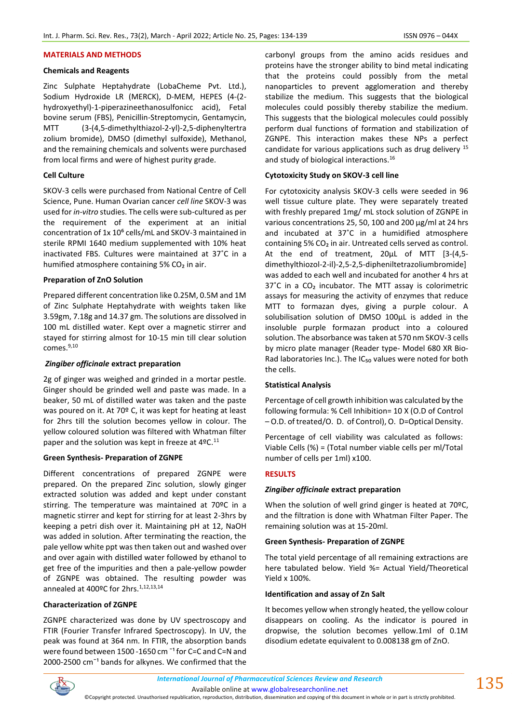#### **MATERIALS AND METHODS**

#### **Chemicals and Reagents**

Zinc Sulphate Heptahydrate (LobaCheme Pvt. Ltd.), Sodium Hydroxide LR (MERCK), D-MEM, HEPES (4-(2 hydroxyethyl)-1-piperazineethanosulfonicc acid), Fetal bovine serum (FBS), Penicillin-Streptomycin, Gentamycin, MTT (3-(4,5-dimethylthiazol-2-yl)-2,5-diphenyltertra zolium bromide), DMSO (dimethyl sulfoxide), Methanol, and the remaining chemicals and solvents were purchased from local firms and were of highest purity grade.

#### **Cell Culture**

SKOV-3 cells were purchased from National Centre of Cell Science, Pune. Human Ovarian cancer *cell line* SKOV-3 was used for *in-vitro* studies. The cells were sub-cultured as per the requirement of the experiment at an initial concentration of 1x 10<sup>6</sup> cells/mL and SKOV-3 maintained in sterile RPMI 1640 medium supplemented with 10% heat inactivated FBS. Cultures were maintained at 37˚C in a humified atmosphere containing 5% CO2 in air.

### **Preparation of ZnO Solution**

Prepared different concentration like 0.25M, 0.5M and 1M of Zinc Sulphate Heptahydrate with weights taken like 3.59gm, 7.18g and 14.37 gm. The solutions are dissolved in 100 mL distilled water. Kept over a magnetic stirrer and stayed for stirring almost for 10-15 min till clear solution comes.<sup>9,10</sup>

#### *Zingiber officinale* **extract preparation**

2g of ginger was weighed and grinded in a mortar pestle. Ginger should be grinded well and paste was made. In a beaker, 50 mL of distilled water was taken and the paste was poured on it. At 70º C, it was kept for heating at least for 2hrs till the solution becomes yellow in colour. The yellow coloured solution was filtered with Whatman filter paper and the solution was kept in freeze at  $4^{\circ}$ C.<sup>11</sup>

### **Green Synthesis- Preparation of ZGNPE**

Different concentrations of prepared ZGNPE were prepared. On the prepared Zinc solution, slowly ginger extracted solution was added and kept under constant stirring. The temperature was maintained at 70ºC in a magnetic stirrer and kept for stirring for at least 2-3hrs by keeping a petri dish over it. Maintaining pH at 12, NaOH was added in solution. After terminating the reaction, the pale yellow white ppt was then taken out and washed over and over again with distilled water followed by ethanol to get free of the impurities and then a pale-yellow powder of ZGNPE was obtained. The resulting powder was annealed at 400°C for 2hrs.<sup>1,12,13,14</sup>

### **Characterization of ZGNPE**

ZGNPE characterized was done by UV spectroscopy and FTIR (Fourier Transfer Infrared Spectroscopy). In UV, the peak was found at 364 nm. In FTIR, the absorption bands were found between 1500 -1650 cm<sup>-1</sup> for C=C and C=N and 2000-2500  $cm^{-1}$  bands for alkynes. We confirmed that the carbonyl groups from the amino acids residues and proteins have the stronger ability to bind metal indicating that the proteins could possibly from the metal nanoparticles to prevent agglomeration and thereby stabilize the medium. This suggests that the biological molecules could possibly thereby stabilize the medium. This suggests that the biological molecules could possibly perform dual functions of formation and stabilization of ZGNPE. This interaction makes these NPs a perfect candidate for various applications such as drug delivery  $15$ and study of biological interactions.<sup>16</sup>

#### **Cytotoxicity Study on SKOV-3 cell line**

For cytotoxicity analysis SKOV-3 cells were seeded in 96 well tissue culture plate. They were separately treated with freshly prepared 1mg/ mL stock solution of ZGNPE in various concentrations 25, 50, 100 and 200 µg/ml at 24 hrs and incubated at 37˚C in a humidified atmosphere containing 5% CO<sub>2</sub> in air. Untreated cells served as control. At the end of treatment, 20µL of MTT [3-(4,5 dimethylthiozol-2-il)-2,5-2,5-dipheniltetrazoliumbromide] was added to each well and incubated for another 4 hrs at 37°C in a CO<sub>2</sub> incubator. The MTT assay is colorimetric assays for measuring the activity of enzymes that reduce MTT to formazan dyes, giving a purple colour. A solubilisation solution of DMSO 100µL is added in the insoluble purple formazan product into a coloured solution. The absorbance was taken at 570 nm SKOV-3 cells by micro plate manager (Reader type- Model 680 XR Bio-Rad laboratories Inc.). The IC<sub>50</sub> values were noted for both the cells.

### **Statistical Analysis**

Percentage of cell growth inhibition was calculated by the following formula: % Cell Inhibition= 10 X (O.D of Control – O.D. of treated/O. D. of Control), O. D=Optical Density.

Percentage of cell viability was calculated as follows: Viable Cells (%) = (Total number viable cells per ml/Total number of cells per 1ml) x100.

### **RESULTS**

#### *Zingiber officinale* **extract preparation**

When the solution of well grind ginger is heated at 70°C, and the filtration is done with Whatman Filter Paper. The remaining solution was at 15-20ml.

#### **Green Synthesis- Preparation of ZGNPE**

The total yield percentage of all remaining extractions are here tabulated below. Yield %= Actual Yield/Theoretical Yield x 100%.

#### **Identification and assay of Zn Salt**

It becomes yellow when strongly heated, the yellow colour disappears on cooling. As the indicator is poured in dropwise, the solution becomes yellow.1ml of 0.1M disodium edetate equivalent to 0.008138 gm of ZnO.



Available online a[t www.globalresearchonline.net](http://www.globalresearchonline.net/)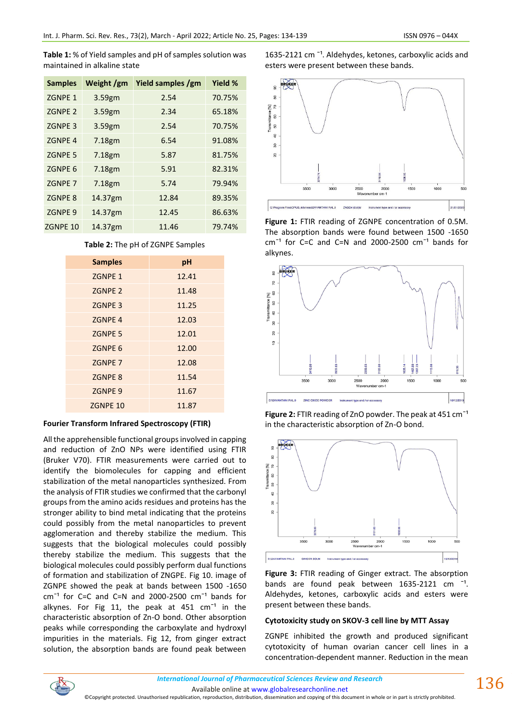**Table 1:** % of Yield samples and pH of samples solution was maintained in alkaline state

| <b>Samples</b>     | Weight /gm | Yield samples /gm | Yield % |
|--------------------|------------|-------------------|---------|
| ZGNPE 1            | 3.59gm     | 2.54              | 70.75%  |
| ZGNPE <sub>2</sub> | 3.59gm     | 2.34              | 65.18%  |
| ZGNPE <sub>3</sub> | 3.59gm     | 2.54              | 70.75%  |
| <b>ZGNPE 4</b>     | 7.18gm     | 6.54              | 91.08%  |
| <b>ZGNPE 5</b>     | 7.18gm     | 5.87              | 81.75%  |
| ZGNPE <sub>6</sub> | 7.18gm     | 5.91              | 82.31%  |
| ZGNPE 7            | 7.18gm     | 5.74              | 79.94%  |
| <b>ZGNPE 8</b>     | 14.37gm    | 12.84             | 89.35%  |
| <b>ZGNPE 9</b>     | 14.37gm    | 12.45             | 86.63%  |
| ZGNPE 10           | 14.37gm    | 11.46             | 79.74%  |

| <b>Samples</b>     | pH    |
|--------------------|-------|
| ZGNPE 1            | 12.41 |
| ZGNPE <sub>2</sub> | 11.48 |
| <b>ZGNPE 3</b>     | 11.25 |
| <b>ZGNPE 4</b>     | 12.03 |
| <b>ZGNPE 5</b>     | 12.01 |
| ZGNPE <sub>6</sub> | 12.00 |
| ZGNPE 7            | 12.08 |
| <b>ZGNPE 8</b>     | 11.54 |
| ZGNPE 9            | 11.67 |
| ZGNPE 10           | 11.87 |

## **Table 2:** The pH of ZGNPE Samples

### **Fourier Transform Infrared Spectroscopy (FTIR)**

All the apprehensible functional groups involved in capping and reduction of ZnO NPs were identified using FTIR (Bruker V70). FTIR measurements were carried out to identify the biomolecules for capping and efficient stabilization of the metal nanoparticles synthesized. From the analysis of FTIR studies we confirmed that the carbonyl groups from the amino acids residues and proteins has the stronger ability to bind metal indicating that the proteins could possibly from the metal nanoparticles to prevent agglomeration and thereby stabilize the medium. This suggests that the biological molecules could possibly thereby stabilize the medium. This suggests that the biological molecules could possibly perform dual functions of formation and stabilization of ZNGPE. Fig 10. image of ZGNPE showed the peak at bands between 1500 -1650  $cm^{-1}$  for C=C and C=N and 2000-2500  $cm^{-1}$  bands for alkynes. For Fig 11, the peak at 451  $cm^{-1}$  in the characteristic absorption of Zn-O bond. Other absorption peaks while corresponding the carboxylate and hydroxyl impurities in the materials. Fig 12, from ginger extract solution, the absorption bands are found peak between

1635-2121 cm $^{-1}$ . Aldehydes, ketones, carboxylic acids and esters were present between these bands.



**Figure 1:** FTIR reading of ZGNPE concentration of 0.5M. The absorption bands were found between 1500 -1650  $cm^{-1}$  for C=C and C=N and 2000-2500  $cm^{-1}$  bands for alkynes.







**Figure 3:** FTIR reading of Ginger extract. The absorption bands are found peak between  $1635-2121$  cm  $^{-1}$ . Aldehydes, ketones, carboxylic acids and esters were present between these bands.

#### **Cytotoxicity study on SKOV-3 cell line by MTT Assay**

ZGNPE inhibited the growth and produced significant cytotoxicity of human ovarian cancer cell lines in a concentration-dependent manner. Reduction in the mean



Available online a[t www.globalresearchonline.net](http://www.globalresearchonline.net/)

©Copyright protected. Unauthorised republication, reproduction, distribution, dissemination and copying of this document in whole or in part is strictly prohibited.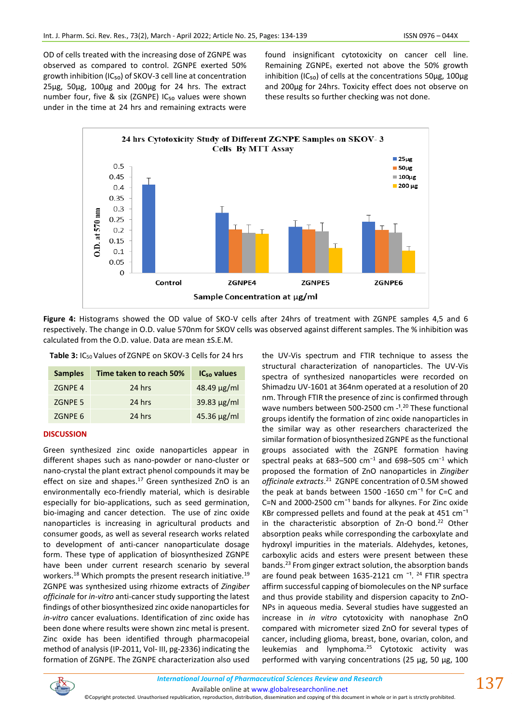OD of cells treated with the increasing dose of ZGNPE was observed as compared to control. ZGNPE exerted 50% growth inhibition (IC<sub>50</sub>) of SKOV-3 cell line at concentration 25µg, 50µg, 100µg and 200µg for 24 hrs. The extract number four, five & six (ZGNPE) IC<sub>50</sub> values were shown under in the time at 24 hrs and remaining extracts were

found insignificant cytotoxicity on cancer cell line. Remaining ZGNPE<sup>s</sup> exerted not above the 50% growth inhibition (IC<sub>50</sub>) of cells at the concentrations 50 $\mu$ g, 100 $\mu$ g and 200µg for 24hrs. Toxicity effect does not observe on these results so further checking was not done.



**Figure 4:** Histograms showed the OD value of SKO-V cells after 24hrs of treatment with ZGNPE samples 4,5 and 6 respectively. The change in O.D. value 570nm for SKOV cells was observed against different samples. The % inhibition was calculated from the O.D. value. Data are mean ±S.E.M.

**Table 3:** IC50 Values of ZGNPE on SKOV-3 Cells for 24 hrs

| <b>Samples</b> | Time taken to reach 50% | IC <sub>50</sub> values |
|----------------|-------------------------|-------------------------|
| <b>ZGNPE 4</b> | 24 hrs                  | $48.49 \mu g/ml$        |
| ZGNPE 5        | 24 hrs                  | 39.83 $\mu$ g/ml        |
| ZGNPE 6        | 24 hrs                  | $45.36 \mu g/ml$        |

### **DISCUSSION**

Green synthesized zinc oxide nanoparticles appear in different shapes such as nano-powder or nano-cluster or nano-crystal the plant extract phenol compounds it may be effect on size and shapes. $^{17}$  Green synthesized ZnO is an environmentally eco-friendly material, which is desirable especially for bio-applications, such as seed germination, bio-imaging and cancer detection. The use of zinc oxide nanoparticles is increasing in agricultural products and consumer goods, as well as several research works related to development of anti-cancer nanoparticulate dosage form. These type of application of biosynthesized ZGNPE have been under current research scenario by several workers.<sup>18</sup> Which prompts the present research initiative.<sup>19</sup> ZGNPE was synthesized using rhizome extracts of *Zingiber officinale* for *in-vitro* anti-cancer study supporting the latest findings of other biosynthesized zinc oxide nanoparticles for *in-vitro* cancer evaluations. Identification of zinc oxide has been done where results were shown zinc metal is present. Zinc oxide has been identified through pharmacopeial method of analysis (IP-2011, Vol- III, pg-2336) indicating the formation of ZGNPE. The ZGNPE characterization also used the UV-Vis spectrum and FTIR technique to assess the structural characterization of nanoparticles. The UV-Vis spectra of synthesized nanoparticles were recorded on Shimadzu UV-1601 at 364nm operated at a resolution of 20 nm. Through FTIR the presence of zinc is confirmed through wave numbers between 500-2500 cm -<sup>1,20</sup> These functional groups identify the formation of zinc oxide nanoparticles in the similar way as other researchers characterized the similar formation of biosynthesized ZGNPE as the functional groups associated with the ZGNPE formation having spectral peaks at 683–500 cm<sup>-1</sup> and 698–505 cm<sup>-1</sup> which proposed the formation of ZnO nanoparticles in *Zingiber officinale extracts*. 21 ZGNPE concentration of 0.5M showed the peak at bands between 1500 -1650  $cm^{-1}$  for C=C and C=N and 2000-2500  $cm^{-1}$  bands for alkynes. For Zinc oxide KBr compressed pellets and found at the peak at  $451 \text{ cm}^{-1}$ in the characteristic absorption of  $Zn-O$  bond.<sup>22</sup> Other absorption peaks while corresponding the carboxylate and hydroxyl impurities in the materials. Aldehydes, ketones, carboxylic acids and esters were present between these bands.<sup>23</sup> From ginger extract solution, the absorption bands are found peak between  $1635-2121$  cm<sup>-1</sup>.<sup>24</sup> FTIR spectra affirm successful capping of biomolecules on the NP surface and thus provide stability and dispersion capacity to ZnO-NPs in aqueous media. Several studies have suggested an increase in *in vitro* cytotoxicity with nanophase ZnO compared with micrometer sized ZnO for several types of cancer, including glioma, breast, bone, ovarian, colon, and leukemias and lymphoma.<sup>25</sup> Cytotoxic activity was performed with varying concentrations (25 µg, 50 µg, 100



Available online a[t www.globalresearchonline.net](http://www.globalresearchonline.net/)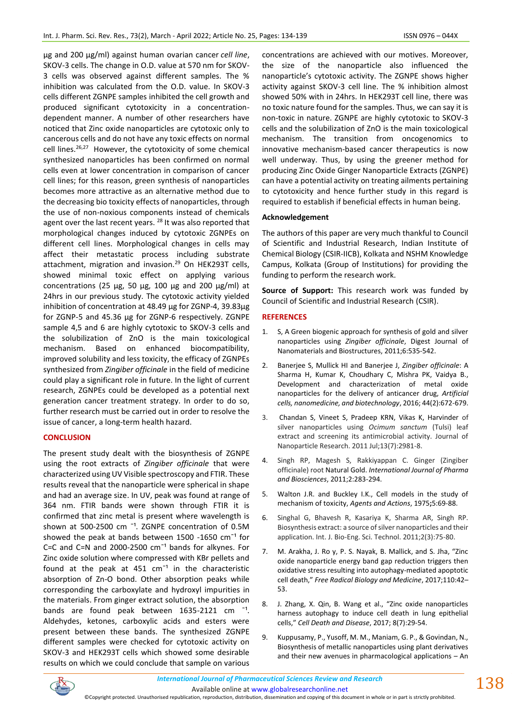µg and 200 µg/ml) against human ovarian cancer *cell line*, SKOV-3 cells. The change in O.D. value at 570 nm for SKOV-3 cells was observed against different samples. The % inhibition was calculated from the O.D. value. In SKOV-3 cells different ZGNPE samples inhibited the cell growth and produced significant cytotoxicity in a concentrationdependent manner. A number of other researchers have noticed that Zinc oxide nanoparticles are cytotoxic only to cancerous cells and do not have any toxic effects on normal cell lines.<sup>26,27</sup> However, the cytotoxicity of some chemical synthesized nanoparticles has been confirmed on normal cells even at lower concentration in comparison of cancer cell lines; for this reason, green synthesis of nanoparticles becomes more attractive as an alternative method due to the decreasing bio toxicity effects of nanoparticles, through the use of non-noxious components instead of chemicals agent over the last recent years. <sup>28</sup> It was also reported that morphological changes induced by cytotoxic ZGNPEs on different cell lines. Morphological changes in cells may affect their metastatic process including substrate attachment, migration and invasion.<sup>29</sup> On HEK293T cells, showed minimal toxic effect on applying various concentrations (25  $\mu$ g, 50  $\mu$ g, 100  $\mu$ g and 200  $\mu$ g/ml) at 24hrs in our previous study. The cytotoxic activity yielded inhibition of concentration at 48.49 µg for ZGNP-4, 39.83µg for ZGNP-5 and 45.36 µg for ZGNP-6 respectively. ZGNPE sample 4,5 and 6 are highly cytotoxic to SKOV-3 cells and the solubilization of ZnO is the main toxicological mechanism. Based on enhanced biocompatibility, improved solubility and less toxicity, the efficacy of ZGNPEs synthesized from *Zingiber officinale* in the field of medicine could play a significant role in future. In the light of current research, ZGNPEs could be developed as a potential next generation cancer treatment strategy. In order to do so, further research must be carried out in order to resolve the issue of cancer, a long-term health hazard.

### **CONCLUSION**

The present study dealt with the biosynthesis of ZGNPE using the root extracts of *Zingiber officinale* that were characterized using UV Visible spectroscopy and FTIR. These results reveal that the nanoparticle were spherical in shape and had an average size. In UV, peak was found at range of 364 nm. FTIR bands were shown through FTIR it is confirmed that zinc metal is present where wavelength is shown at 500-2500 cm<sup>-1</sup>. ZGNPE concentration of 0.5M showed the peak at bands between 1500 -1650  $cm^{-1}$  for C=C and C=N and 2000-2500  $cm^{-1}$  bands for alkynes. For Zinc oxide solution where compressed with KBr pellets and found at the peak at 451  $cm^{-1}$  in the characteristic absorption of Zn-O bond. Other absorption peaks while corresponding the carboxylate and hydroxyl impurities in the materials. From ginger extract solution, the absorption bands are found peak between  $1635-2121$  cm  $^{-1}$ . Aldehydes, ketones, carboxylic acids and esters were present between these bands. The synthesized ZGNPE different samples were checked for cytotoxic activity on SKOV-3 and HEK293T cells which showed some desirable results on which we could conclude that sample on various

concentrations are achieved with our motives. Moreover, the size of the nanoparticle also influenced the nanoparticle's cytotoxic activity. The ZGNPE shows higher activity against SKOV-3 cell line. The % inhibition almost showed 50% with in 24hrs. In HEK293T cell line, there was no toxic nature found for the samples. Thus, we can say it is non-toxic in nature. ZGNPE are highly cytotoxic to SKOV-3 cells and the solubilization of ZnO is the main toxicological mechanism. The transition from oncogenomics to innovative mechanism-based cancer therapeutics is now well underway. Thus, by using the greener method for producing Zinc Oxide Ginger Nanoparticle Extracts (ZGNPE) can have a potential activity on treating ailments pertaining to cytotoxicity and hence further study in this regard is required to establish if beneficial effects in human being.

### **Acknowledgement**

The authors of this paper are very much thankful to Council of Scientific and Industrial Research, Indian Institute of Chemical Biology (CSIR-IICB), Kolkata and NSHM Knowledge Campus, Kolkata (Group of Institutions) for providing the funding to perform the research work.

**Source of Support:** This research work was funded by Council of Scientific and Industrial Research (CSIR).

### **REFERENCES**

- 1. S, A Green biogenic approach for synthesis of gold and silver nanoparticles using *Zingiber officinale*, Digest Journal of Nanomaterials and Biostructures, 2011;6:535-542.
- 2. Banerjee S, Mullick HI and Banerjee J, *Zingiber officinale*: A Sharma H, Kumar K, Choudhary C, Mishra PK, Vaidya B., Development and characterization of metal oxide nanoparticles for the delivery of anticancer drug, *Artificial cells, nanomedicine, and biotechnology*, 2016; 44(2):672-679.
- 3. Chandan S, Vineet S, Pradeep KRN, Vikas K, Harvinder of silver nanoparticles using *Ocimum sanctum* (Tulsi) leaf extract and screening its antimicrobial activity. Journal of Nanoparticle Research. 2011 Jul;13(7):2981-8.
- 4. Singh RP, Magesh S, Rakkiyappan C. Ginger (Zingiber officinale) root Natural Gold. *International Journal of Pharma and Biosciences*, 2011;2:283-294.
- 5. Walton J.R. and Buckley I.K., Cell models in the study of mechanism of toxicity, *Agents and Actions*, 1975**;**5:69-88.
- 6. Singhal G, Bhavesh R, Kasariya K, Sharma AR, Singh RP. Biosynthesis extract: a source of silver nanoparticles and their application. Int. J. Bio-Eng. Sci. Technol. 2011;2(3):75-80.
- 7. M. Arakha, J. Ro y, P. S. Nayak, B. Mallick, and S. Jha, "Zinc oxide nanoparticle energy band gap reduction triggers then oxidative stress resulting into autophagy-mediated apoptotic cell death," *Free Radical Biology and Medicine*, 2017;110:42– 53.
- 8. J. Zhang, X. Qin, B. Wang et al., "Zinc oxide nanoparticles harness autophagy to induce cell death in lung epithelial cells," *Cell Death and Disease*, 2017; 8(7):29-54.
- 9. Kuppusamy, P., Yusoff, M. M., Maniam, G. P., & Govindan, N., Biosynthesis of metallic nanoparticles using plant derivatives and their new avenues in pharmacological applications – An



Available online a[t www.globalresearchonline.net](http://www.globalresearchonline.net/) ©Copyright protected. Unauthorised republication, reproduction, distribution, dissemination and copying of this document in whole or in part is strictly prohibited.